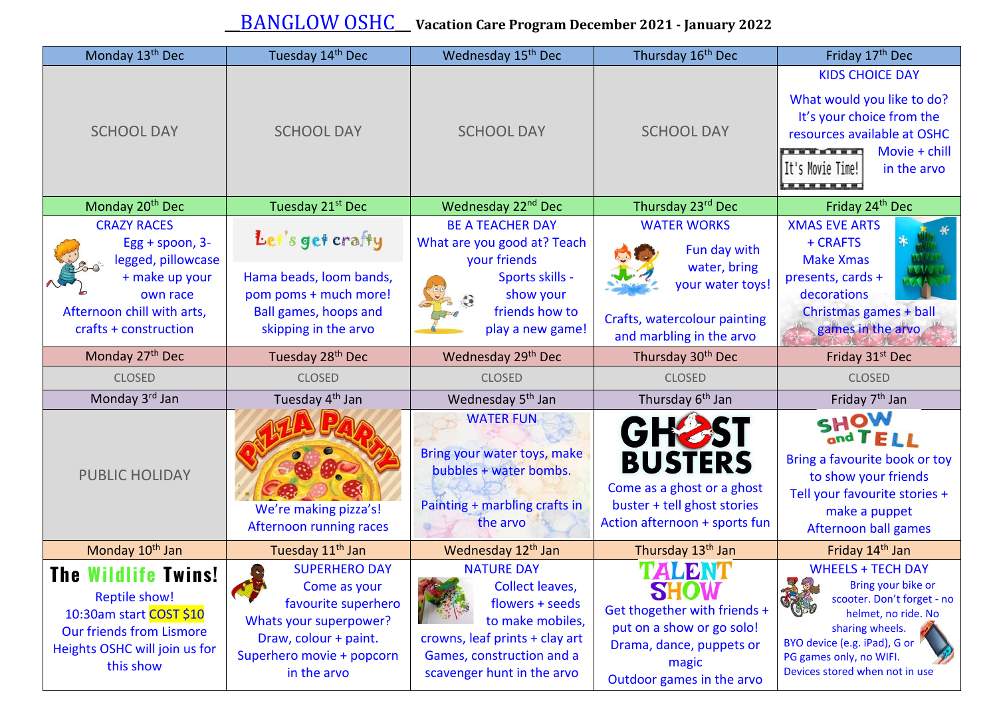## \_\_BANGLOW OSHC\_\_ **Vacation Care Program December <sup>2021</sup> - January <sup>2022</sup>**

| Monday 13 <sup>th</sup> Dec                                                                                                                                    | Tuesday 14th Dec                                                                                                                                                                           | Wednesday 15 <sup>th</sup> Dec                                                                                                                                                  | Thursday 16 <sup>th</sup> Dec                                                                                                         | Friday 17 <sup>th</sup> Dec                                                                                                                                                                                         |
|----------------------------------------------------------------------------------------------------------------------------------------------------------------|--------------------------------------------------------------------------------------------------------------------------------------------------------------------------------------------|---------------------------------------------------------------------------------------------------------------------------------------------------------------------------------|---------------------------------------------------------------------------------------------------------------------------------------|---------------------------------------------------------------------------------------------------------------------------------------------------------------------------------------------------------------------|
| <b>SCHOOL DAY</b>                                                                                                                                              | <b>SCHOOL DAY</b>                                                                                                                                                                          | <b>SCHOOL DAY</b>                                                                                                                                                               | <b>SCHOOL DAY</b>                                                                                                                     | <b>KIDS CHOICE DAY</b><br>What would you like to do?<br>It's your choice from the<br>resources available at OSHC<br>Movie + chill<br><b>THE REAL PROPERTY</b><br>It's Movie Time!<br>in the arvo                    |
| Monday 20 <sup>th</sup> Dec                                                                                                                                    | Tuesday 21 <sup>st</sup> Dec                                                                                                                                                               | Wednesday 22 <sup>nd</sup> Dec                                                                                                                                                  | Thursday 23rd Dec                                                                                                                     | Friday 24th Dec                                                                                                                                                                                                     |
| <b>CRAZY RACES</b><br>Egg + spoon, 3-<br>legged, pillowcase<br>+ make up your<br>own race<br>Afternoon chill with arts,<br>crafts + construction               | Let's get crafty<br>Hama beads, loom bands,<br>pom poms + much more!<br>Ball games, hoops and<br>skipping in the arvo                                                                      | <b>BE A TEACHER DAY</b><br>What are you good at? Teach<br>your friends<br>Sports skills -<br>show your<br>friends how to<br>play a new game!                                    | <b>WATER WORKS</b><br>Fun day with<br>water, bring<br>your water toys!<br>Crafts, watercolour painting<br>and marbling in the arvo    | <b>XMAS EVE ARTS</b><br>+ CRAFTS<br><b>Make Xmas</b><br>presents, cards +<br>decorations<br>Christmas games + ball<br>games in the arvo                                                                             |
| Monday 27 <sup>th</sup> Dec                                                                                                                                    | Tuesday 28 <sup>th</sup> Dec                                                                                                                                                               | Wednesday 29 <sup>th</sup> Dec                                                                                                                                                  | Thursday 30 <sup>th</sup> Dec                                                                                                         | Friday 31 <sup>st</sup> Dec                                                                                                                                                                                         |
| <b>CLOSED</b>                                                                                                                                                  | <b>CLOSED</b>                                                                                                                                                                              | <b>CLOSED</b>                                                                                                                                                                   | <b>CLOSED</b>                                                                                                                         | <b>CLOSED</b>                                                                                                                                                                                                       |
| Monday 3rd Jan                                                                                                                                                 | Tuesday 4 <sup>th</sup> Jan                                                                                                                                                                | Wednesday 5 <sup>th</sup> Jan                                                                                                                                                   | Thursday 6 <sup>th</sup> Jan                                                                                                          | Friday 7 <sup>th</sup> Jan                                                                                                                                                                                          |
| <b>PUBLIC HOLIDAY</b>                                                                                                                                          | We're making pizza's!<br>Afternoon running races                                                                                                                                           | <b>WATER FUN</b><br>Bring your water toys, make<br>bubbles + water bombs.<br>Painting + marbling crafts in<br>the arvo                                                          | GHOST<br><b>BUSTERS</b><br>Come as a ghost or a ghost<br>buster + tell ghost stories<br>Action afternoon + sports fun                 | SHOW<br>and TELL<br>Bring a favourite book or toy<br>to show your friends<br>Tell your favourite stories +<br>make a puppet<br>Afternoon ball games                                                                 |
| Monday 10 <sup>th</sup> Jan                                                                                                                                    | Tuesday 11 <sup>th</sup> Jan                                                                                                                                                               | Wednesday 12 <sup>th</sup> Jan                                                                                                                                                  | Thursday 13 <sup>th</sup> Jan                                                                                                         | Friday 14 <sup>th</sup> Jan                                                                                                                                                                                         |
| <b>The Wildlife Twins!</b><br><b>Reptile show!</b><br>10:30am start COST \$10<br><b>Our friends from Lismore</b><br>Heights OSHC will join us for<br>this show | <b>SUPERHERO DAY</b><br>$\left( \frac{1}{2} \right)$<br>Come as your<br>favourite superhero<br>Whats your superpower?<br>Draw, colour + paint.<br>Superhero movie + popcorn<br>in the arvo | <b>NATURE DAY</b><br><b>Collect leaves,</b><br>flowers + seeds<br>to make mobiles,<br>crowns, leaf prints + clay art<br>Games, construction and a<br>scavenger hunt in the arvo | TALDNT<br>Get thogether with friends +<br>put on a show or go solo!<br>Drama, dance, puppets or<br>magic<br>Outdoor games in the arvo | <b>WHEELS + TECH DAY</b><br>Bring your bike or<br>scooter. Don't forget - no<br>helmet, no ride. No<br>sharing wheels.<br>BYO device (e.g. iPad), G or<br>PG games only, no WIFI.<br>Devices stored when not in use |